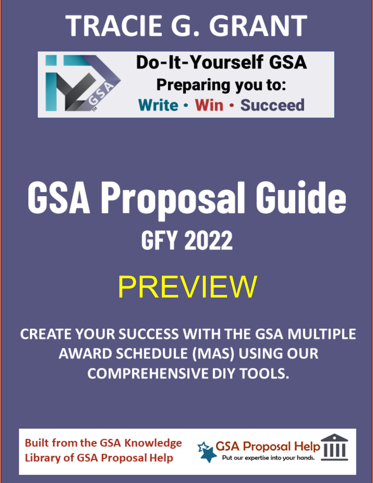# **TRACIE G. GRANT**



**Do-It-Yourself GSA Preparing you to:** Write • Win • Succeed

# **GSA Proposal Guide GFY 2022 PREVIEW**

**CREATE YOUR SUCCESS WITH THE GSA MULTIPLE AWARD SCHEDULE (MAS) USING OUR COMPREHENSIVE DIY TOOLS.** 

**Built from the GSA Knowledge Library of GSA Proposal Help** 

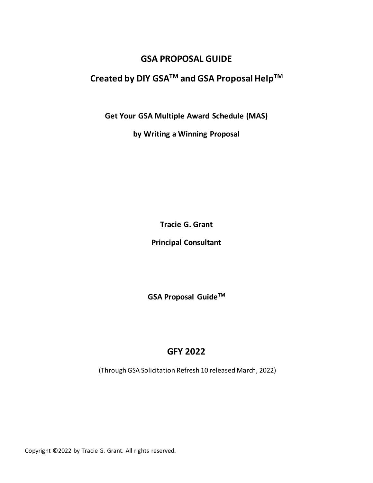## **GSA PROPOSAL GUIDE**

# **Created by DIY GSATM and GSA Proposal HelpTM**

**Get Your GSA Multiple Award Schedule (MAS)**

**by Writing a Winning Proposal**

**Tracie G. Grant**

**Principal Consultant**

**GSA Proposal GuideTM**

# **GFY 2022**

(Through GSA Solicitation Refresh 10 released March, 2022)

Copyright ©2022 by Tracie G. Grant. All rights reserved.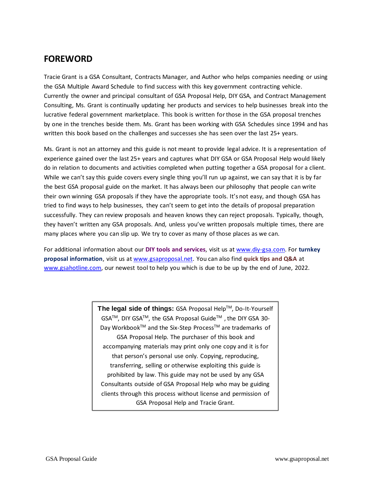# **FOREWORD**

Tracie Grant is a GSA Consultant, Contracts Manager, and Author who helps companies needing or using the GSA Multiple Award Schedule to find success with this key government contracting vehicle. Currently the owner and principal consultant of GSA Proposal Help, DIY GSA, and Contract Management Consulting, Ms. Grant is continually updating her products and services to help businesses break into the lucrative federal government marketplace. This book is written for those in the GSA proposal trenches by one in the trenches beside them. Ms. Grant has been working with GSA Schedules since 1994 and has written this book based on the challenges and successes she has seen over the last 25+ years.

Ms. Grant is not an attorney and this guide is not meant to provide legal advice. It is a representation of experience gained over the last 25+ years and captures what DIY GSA or GSA Proposal Help would likely do in relation to documents and activities completed when putting together a GSA proposal for a client. While we can't say this guide covers every single thing you'll run up against, we can say that it is by far the best GSA proposal guide on the market. It has always been our philosophy that people can write their own winning GSA proposals if they have the appropriate tools. It's not easy, and though GSA has tried to find ways to help businesses, they can't seem to get into the details of proposal preparation successfully. They can review proposals and heaven knows they can reject proposals. Typically, though, they haven't written any GSA proposals. And, unless you've written proposals multiple times, there are many places where you can slip up. We try to cover as many of those places as we can.

For additional information about our **DIY tools and services**, visit us at [www.diy-gsa.com.](http://www.diy-gsa.com/) For **turnkey proposal information**, visit us at [www.gsaproposal.net.](http://www.gsaproposal.net/) You can also find **quick tips and Q&A** at [www.gsahotline.com,](http://www.gsahotline.com/) our newest tool to help you which is due to be up by the end of June, 2022.

> **The legal side of things:** GSA Proposal HelpTM, Do-It-Yourself GSA<sup>™</sup>, DIY GSA<sup>™</sup>, the GSA Proposal Guide<sup>™</sup>, the DIY GSA 30-Day Workbook™ and the Six-Step Process™ are trademarks of GSA Proposal Help. The purchaser of this book and accompanying materials may print only one copy and it is for that person's personal use only. Copying, reproducing, transferring, selling or otherwise exploiting this guide is prohibited by law. This guide may not be used by any GSA Consultants outside of GSA Proposal Help who may be guiding clients through this process without license and permission of GSA Proposal Help and Tracie Grant.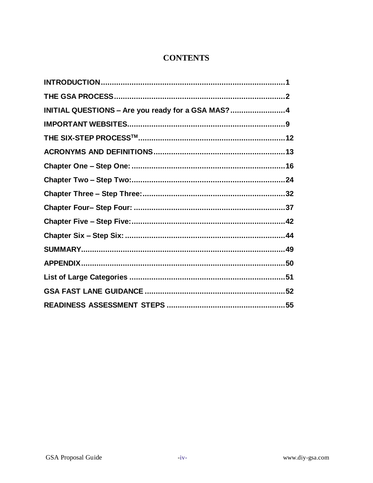## **CONTENTS**

| INITIAL QUESTIONS - Are you ready for a GSA MAS? 4 |  |
|----------------------------------------------------|--|
|                                                    |  |
|                                                    |  |
|                                                    |  |
|                                                    |  |
|                                                    |  |
|                                                    |  |
|                                                    |  |
|                                                    |  |
|                                                    |  |
|                                                    |  |
|                                                    |  |
|                                                    |  |
|                                                    |  |
|                                                    |  |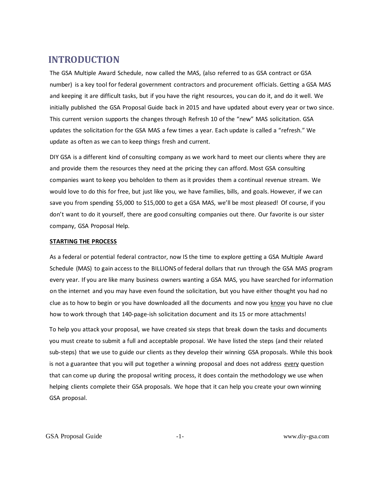# <span id="page-4-0"></span> **INTRODUCTION**

The GSA Multiple Award Schedule, now called the MAS, (also referred to as GSA contract or GSA number) is a key tool for federal government contractors and procurement officials. Getting a GSA MAS and keeping it are difficult tasks, but if you have the right resources, you can do it, and do it well. We initially published the GSA Proposal Guide back in 2015 and have updated about every year or two since. This current version supports the changes through Refresh 10 of the "new" MAS solicitation. GSA updates the solicitation for the GSA MAS a few times a year. Each update is called a "refresh." We update as often as we can to keep things fresh and current.

DIY GSA is a different kind of consulting company as we work hard to meet our clients where they are and provide them the resources they need at the pricing they can afford. Most GSA consulting companies want to keep you beholden to them as it provides them a continual revenue stream. We would love to do this for free, but just like you, we have families, bills, and goals. However, if we can save you from spending \$5,000 to \$15,000 to get a GSA MAS, we'll be most pleased! Of course, if you don't want to do it yourself, there are good consulting companies out there. Our favorite is our sister company, GSA Proposal Help.

#### **STARTING THE PROCESS**

As a federal or potential federal contractor, now IS the time to explore getting a GSA Multiple Award Schedule (MAS) to gain access to the BILLIONS of federal dollars that run through the GSA MAS program every year. If you are like many business owners wanting a GSA MAS, you have searched for information on the internet and you may have even found the solicitation, but you have either thought you had no clue as to how to begin or you have downloaded all the documents and now you know you have no clue how to work through that 140-page-ish solicitation document and its 15 or more attachments!

To help you attack your proposal, we have created six steps that break down the tasks and documents you must create to submit a full and acceptable proposal. We have listed the steps (and their related sub-steps) that we use to guide our clients as they develop their winning GSA proposals. While this book is not a guarantee that you will put together a winning proposal and does not address every question that can come up during the proposal writing process, it does contain the methodology we use when helping clients complete their GSA proposals. We hope that it can help you create your own winning GSA proposal.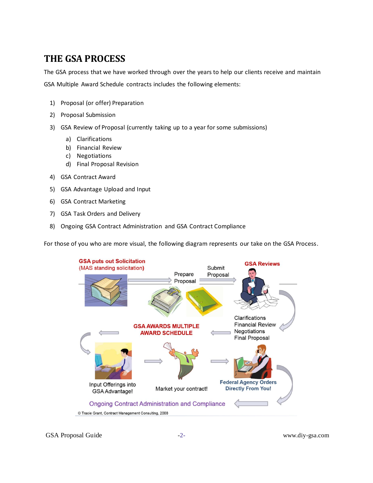# <span id="page-5-0"></span>**THE GSA PROCESS**

The GSA process that we have worked through over the years to help our clients receive and maintain GSA Multiple Award Schedule contracts includes the following elements:

- 1) Proposal (or offer) Preparation
- 2) Proposal Submission
- 3) GSA Review of Proposal (currently taking up to a year for some submissions)
	- a) Clarifications
	- b) Financial Review
	- c) Negotiations
	- d) Final Proposal Revision
- 4) GSA Contract Award
- 5) GSA Advantage Upload and Input
- 6) GSA Contract Marketing
- 7) GSA Task Orders and Delivery
- 8) Ongoing GSA Contract Administration and GSA Contract Compliance

For those of you who are more visual, the following diagram represents our take on the GSA Process.

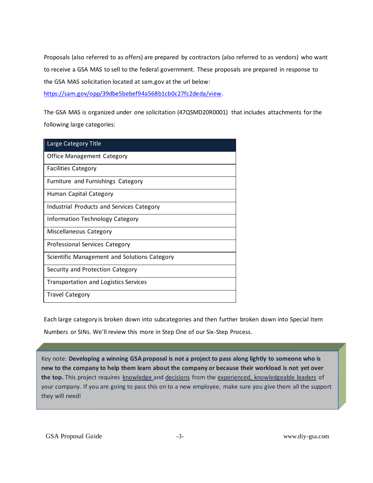Proposals (also referred to as offers) are prepared by contractors (also referred to as vendors) who want to receive a GSA MAS to sell to the federal government. These proposals are prepared in response to the GSA MAS solicitation located at sam.gov at the url below:

[https://sam.gov/opp/39dbe5bebef94a568b1cb0c27fc2deda/view.](https://sam.gov/opp/39dbe5bebef94a568b1cb0c27fc2deda/view)

The GSA MAS is organized under one solicitation (47QSMD20R0001) that includes attachments for the following large categories:

| Large Category Title                         |
|----------------------------------------------|
| Office Management Category                   |
| <b>Facilities Category</b>                   |
| Furniture and Furnishings Category           |
| Human Capital Category                       |
| Industrial Products and Services Category    |
| <b>Information Technology Category</b>       |
| Miscellaneous Category                       |
| Professional Services Category               |
| Scientific Management and Solutions Category |
| Security and Protection Category             |
| <b>Transportation and Logistics Services</b> |
| <b>Travel Category</b>                       |

Each large category is broken down into subcategories and then further broken down into Special Item Numbers or SINs. We'll review this more in Step One of our Six-Step Process.

Key note: **Developing a winning GSA proposal is not a project to pass along lightly to someone who is new to the company to help them learn about the company or because their workload is not yet over the top.** This project requires knowledge and decisions from the experienced, knowledgeable leaders of your company. If you are going to pass this on to a new employee, make sure you give them all the support they will need!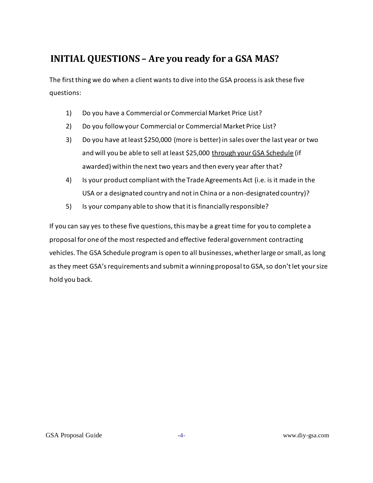# <span id="page-7-0"></span> **INITIAL QUESTIONS – Are you ready for a GSA MAS?**

The first thing we do when a client wants to dive into the GSA process is ask these five questions:

- 1) Do you have a Commercial or Commercial Market Price List?
- 2) Do you follow your Commercial or Commercial Market Price List?
- 3) Do you have at least \$250,000 (more is better) in sales over the last year or two and will you be able to sell at least \$25,000 through your GSA Schedule (if awarded) within the next two years and then every year after that?
- 4) Is your product compliant with the Trade Agreements Act (i.e. is it made in the USA or a designated country and not in China or a non-designated country)?
- 5) Is your company able to show that it is financially responsible?

If you can say yes to these five questions, this may be a great time for you to complete a proposal for one of the most respected and effective federal government contracting vehicles. The GSA Schedule program is open to all businesses, whether large or small, as long as they meet GSA's requirements and submit a winning proposal to GSA, so don't let your size hold you back.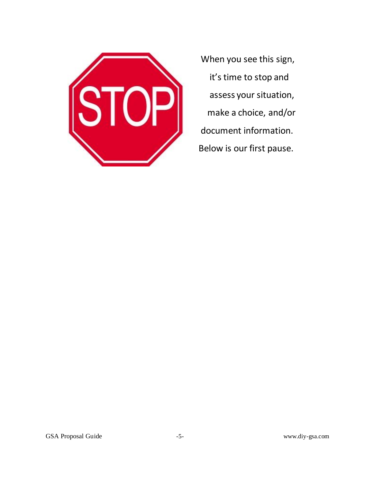

When you see this sign, it's time to stop and assess your situation, make a choice, and/or document information. Below is our first pause.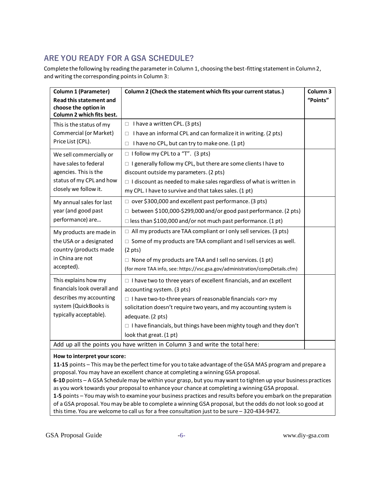# **ARE YOU READY FOR A GSA SCHEDULE?**

Complete the following by reading the parameter in Column 1, choosing the best-fitting statement in Column 2, and writing the corresponding points in Column 3:

| <b>Column 1 (Parameter)</b>                                                                                                    | Column 2 (Check the statement which fits your current status.)                     | Column 3 |  |
|--------------------------------------------------------------------------------------------------------------------------------|------------------------------------------------------------------------------------|----------|--|
| <b>Read this statement and</b><br>choose the option in<br>Column 2 which fits best.                                            |                                                                                    | "Points" |  |
| This is the status of my<br>Commercial (or Market)<br>Price List (CPL).                                                        | I have a written CPL. (3 pts)<br>$\Box$                                            |          |  |
|                                                                                                                                | I have an informal CPL and can formalize it in writing. (2 pts)<br>$\Box$          |          |  |
|                                                                                                                                | I have no CPL, but can try to make one. (1 pt)<br>$\Box$                           |          |  |
| We sell commercially or<br>have sales to federal<br>agencies. This is the<br>status of my CPL and how<br>closely we follow it. | $\Box$ I follow my CPL to a "T". (3 pts)                                           |          |  |
|                                                                                                                                | $\Box$ I generally follow my CPL, but there are some clients I have to             |          |  |
|                                                                                                                                | discount outside my parameters. (2 pts)                                            |          |  |
|                                                                                                                                | $\Box$ I discount as needed to make sales regardless of what is written in         |          |  |
|                                                                                                                                | my CPL. I have to survive and that takes sales. (1 pt)                             |          |  |
| My annual sales for last                                                                                                       | □ over \$300,000 and excellent past performance. (3 pts)                           |          |  |
| year (and good past<br>performance) are                                                                                        | $\Box$ between \$100,000-\$299,000 and/or good past performance. (2 pts)           |          |  |
|                                                                                                                                | $\Box$ less than \$100,000 and/or not much past performance. (1 pt)                |          |  |
| My products are made in<br>the USA or a designated<br>country (products made<br>in China are not<br>accepted).                 | $\Box$ All my products are TAA compliant or I only sell services. (3 pts)          |          |  |
|                                                                                                                                | $\Box$ Some of my products are TAA compliant and I sell services as well.          |          |  |
|                                                                                                                                | $(2 \text{ pts})$                                                                  |          |  |
|                                                                                                                                | $\Box$ None of my products are TAA and I sell no services. (1 pt)                  |          |  |
|                                                                                                                                | (for more TAA info, see: https://vsc.gsa.gov/administration/compDetails.cfm)       |          |  |
| This explains how my                                                                                                           | $\Box$ I have two to three years of excellent financials, and an excellent         |          |  |
| financials look overall and                                                                                                    | accounting system. (3 pts)                                                         |          |  |
| describes my accounting                                                                                                        | $\Box$ I have two-to-three years of reasonable financials <or><math>m</math>y</or> |          |  |
| system (QuickBooks is<br>typically acceptable).                                                                                | solicitation doesn't require two years, and my accounting system is                |          |  |
|                                                                                                                                | adequate. (2 pts)                                                                  |          |  |
|                                                                                                                                | $\Box$ I have financials, but things have been mighty tough and they don't         |          |  |
|                                                                                                                                | look that great. (1 pt)                                                            |          |  |
| Add up all the points you have written in Column 3 and write the total here:                                                   |                                                                                    |          |  |

#### **How to interpret your score:**

**11-15** points – This may be the perfect time for you to take advantage of the GSA MAS program and prepare a proposal. You may have an excellent chance at completing a winning GSA proposal.

**6-10** points – A GSA Schedule may be within your grasp, but you may want to tighten up your business practices as you work towards your proposal to enhance your chance at completing a winning GSA proposal.

**1-5** points – You may wish to examine your business practices and results before you embark on the preparation of a GSA proposal. You may be able to complete a winning GSA proposal, but the odds do not look so good at this time. You are welcome to call us for a free consultation just to be sure – 320-434-9472.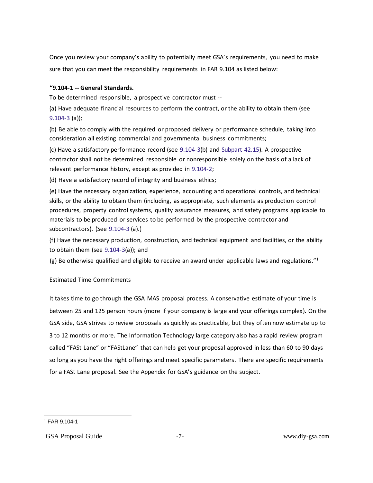Once you review your company's ability to potentially meet GSA's requirements, you need to make sure that you can meet the responsibility requirements in FAR 9.104 as listed below:

#### **"9.104-1 -- General Standards.**

To be determined responsible, a prospective contractor must --

(a) Have adequate financial resources to perform the contract, or the ability to obtain them (see 9.104-3 (a));

(b) Be able to comply with the required or proposed delivery or performance schedule, taking into consideration all existing commercial and governmental business commitments;

(c) Have a satisfactory performance record (see 9.104-3(b) and Subpart 42.15). A prospective contractor shall not be determined responsible or nonresponsible solely on the basis of a lack of relevant performance history, except as provided in 9.104-2;

(d) Have a satisfactory record of integrity and business ethics;

(e) Have the necessary organization, experience, accounting and operational controls, and technical skills, or the ability to obtain them (including, as appropriate, such elements as production control procedures, property control systems, quality assurance measures, and safety programs applicable to materials to be produced or services to be performed by the prospective contractor and subcontractors). (See 9.104-3 (a).)

(f) Have the necessary production, construction, and technical equipment and facilities, or the ability to obtain them (see 9.104-3(a)); and

(g) Be otherwise qualified and eligible to receive an award under applicable laws and regulations."<sup>1</sup>

#### Estimated Time Commitments

It takes time to go through the GSA MAS proposal process. A conservative estimate of your time is between 25 and 125 person hours (more if your company is large and your offerings complex). On the GSA side, GSA strives to review proposals as quickly as practicable, but they often now estimate up to 3 to 12 months or more. The Information Technology large category also has a rapid review program called "FASt Lane" or "FAStLane" that can help get your proposal approved in less than 60 to 90 days so long as you have the right offerings and meet specific parameters. There are specific requirements for a FASt Lane proposal. See the Appendix for GSA's guidance on the subject.

<sup>1</sup> FAR 9.104-1

GSA Proposal Guide  $-7$ -  $-7$ - www.diy-gsa.com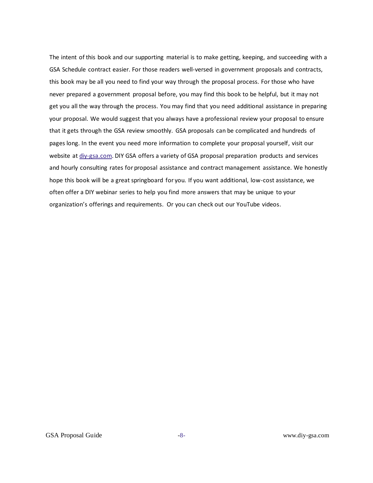The intent of this book and our supporting material is to make getting, keeping, and succeeding with a GSA Schedule contract easier. For those readers well-versed in government proposals and contracts, this book may be all you need to find your way through the proposal process. For those who have never prepared a government proposal before, you may find this book to be helpful, but it may not get you all the way through the process. You may find that you need additional assistance in preparing your proposal. We would suggest that you always have a professional review your proposal to ensure that it gets through the GSA review smoothly. GSA proposals can be complicated and hundreds of pages long. In the event you need more information to complete your proposal yourself, visit our website at [diy-gsa.com.](http://www.gsaproposal.net/) DIY GSA offers a variety of GSA proposal preparation products and services and hourly consulting rates for proposal assistance and contract management assistance. We honestly hope this book will be a great springboard for you. If you want additional, low-cost assistance, we often offer a DIY webinar series to help you find more answers that may be unique to your organization's offerings and requirements. Or you can check out our YouTube videos.